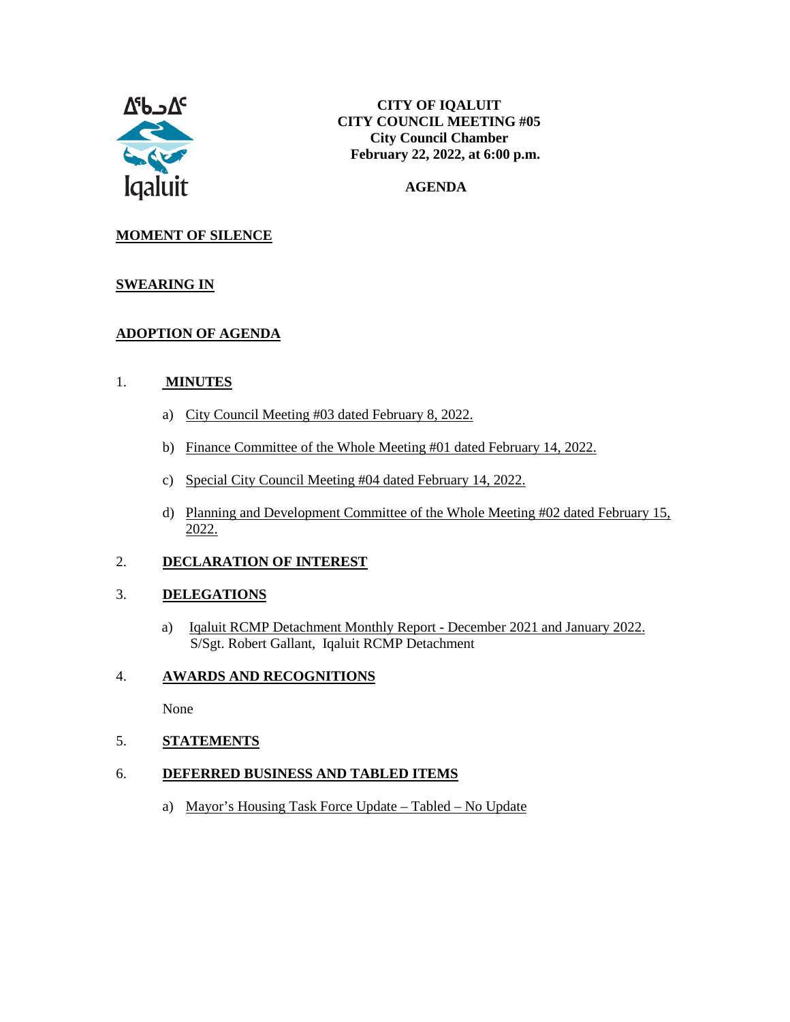

#### **AGENDA**

### **MOMENT OF SILENCE**

#### **SWEARING IN**

## **ADOPTION OF AGENDA**

#### 1. **MINUTES**

- a) City Council Meeting #03 dated February 8, 2022.
- b) Finance Committee of the Whole Meeting #01 dated February 14, 2022.
- c) Special City Council Meeting #04 dated February 14, 2022.
- d) Planning and Development Committee of the Whole Meeting #02 dated February 15, 2022.

### 2. **DECLARATION OF INTEREST**

#### 3. **DELEGATIONS**

a) Iqaluit RCMP Detachment Monthly Report - December 2021 and January 2022. S/Sgt. Robert Gallant, Iqaluit RCMP Detachment

### 4. **AWARDS AND RECOGNITIONS**

None

5. **STATEMENTS**

#### 6. **DEFERRED BUSINESS AND TABLED ITEMS**

a) Mayor's Housing Task Force Update – Tabled – No Update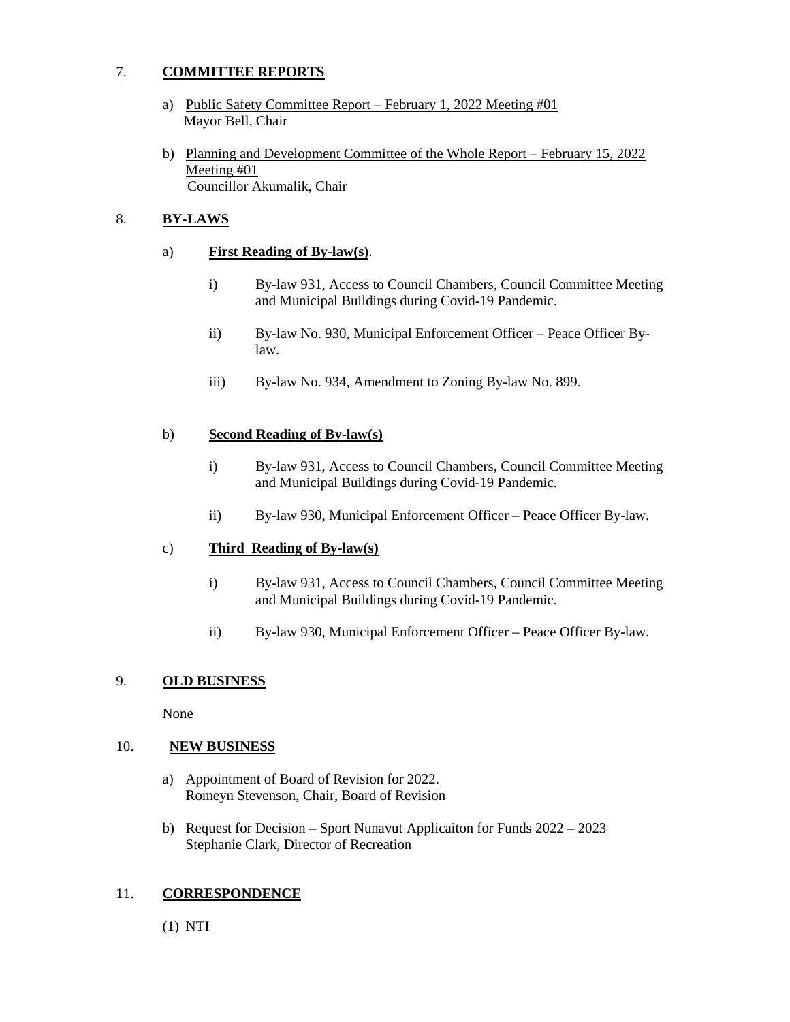### 7. **COMMITTEE REPORTS**

- a) Public Safety Committee Report February 1, 2022 Meeting #01 Mayor Bell, Chair
- b) Planning and Development Committee of the Whole Report February 15, 2022 Meeting #01 Councillor Akumalik, Chair

#### 8. **BY-LAWS**

#### a) **First Reading of By-law(s)**.

- i) By-law 931, Access to Council Chambers, Council Committee Meeting and Municipal Buildings during Covid-19 Pandemic.
- ii) By-law No. 930, Municipal Enforcement Officer Peace Officer Bylaw.
- iii) By-law No. 934, Amendment to Zoning By-law No. 899.

#### b) **Second Reading of By-law(s)**

- i) By-law 931, Access to Council Chambers, Council Committee Meeting and Municipal Buildings during Covid-19 Pandemic.
- ii) By-law 930, Municipal Enforcement Officer Peace Officer By-law.

#### c) **Third Reading of By-law(s)**

- i) By-law 931, Access to Council Chambers, Council Committee Meeting and Municipal Buildings during Covid-19 Pandemic.
- ii) By-law 930, Municipal Enforcement Officer Peace Officer By-law.

#### 9. **OLD BUSINESS**

None

#### 10. **NEW BUSINESS**

- a) Appointment of Board of Revision for 2022. Romeyn Stevenson, Chair, Board of Revision
- b) Request for Decision Sport Nunavut Applicaiton for Funds 2022 2023 Stephanie Clark, Director of Recreation

#### 11. **CORRESPONDENCE**

(1) NTI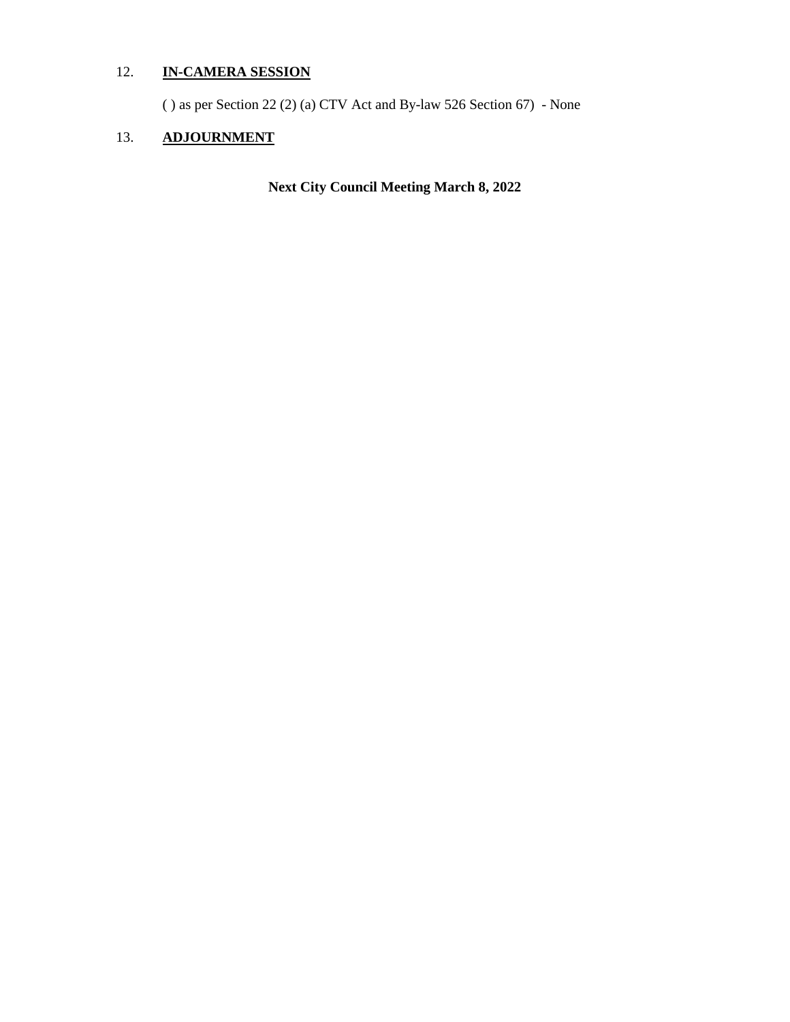## 12. **IN-CAMERA SESSION**

( ) as per Section 22 (2) (a) CTV Act and By-law 526 Section 67) - None

# 13. **ADJOURNMENT**

**Next City Council Meeting March 8, 2022**